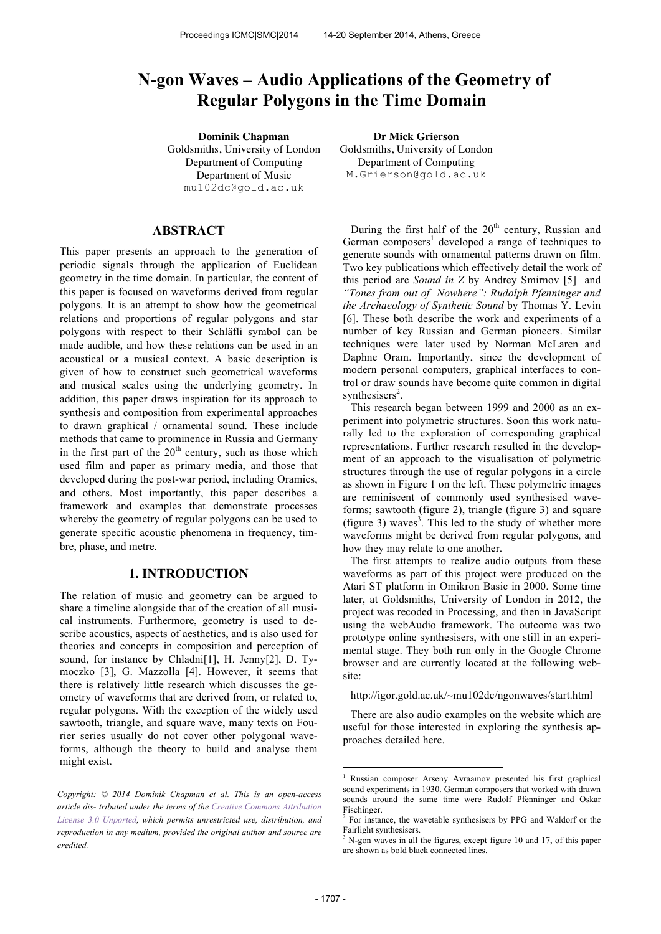# **N-gon Waves – Audio Applications of the Geometry of Regular Polygons in the Time Domain**

**Dominik Chapman Dr Mick Grierson** Goldsmiths, University of London Department of Computing Department of Music mu102dc@gold.ac.uk

## **ABSTRACT**

This paper presents an approach to the generation of periodic signals through the application of Euclidean geometry in the time domain. In particular, the content of this paper is focused on waveforms derived from regular polygons. It is an attempt to show how the geometrical relations and proportions of regular polygons and star polygons with respect to their Schläfli symbol can be made audible, and how these relations can be used in an acoustical or a musical context. A basic description is given of how to construct such geometrical waveforms and musical scales using the underlying geometry. In addition, this paper draws inspiration for its approach to synthesis and composition from experimental approaches to drawn graphical / ornamental sound. These include methods that came to prominence in Russia and Germany in the first part of the  $20<sup>th</sup>$  century, such as those which used film and paper as primary media, and those that developed during the post-war period, including Oramics, and others. Most importantly, this paper describes a framework and examples that demonstrate processes whereby the geometry of regular polygons can be used to generate specific acoustic phenomena in frequency, timbre, phase, and metre.

## **1. INTRODUCTION**

The relation of music and geometry can be argued to share a timeline alongside that of the creation of all musical instruments. Furthermore, geometry is used to describe acoustics, aspects of aesthetics, and is also used for theories and concepts in composition and perception of sound, for instance by Chladni[1], H. Jenny[2], D. Tymoczko [3], G. Mazzolla [4]. However, it seems that there is relatively little research which discusses the geometry of waveforms that are derived from, or related to, regular polygons. With the exception of the widely used sawtooth, triangle, and square wave, many texts on Fourier series usually do not cover other polygonal waveforms, although the theory to build and analyse them might exist.

Goldsmiths, University of London Department of Computing M.Grierson@gold.ac.uk

During the first half of the  $20<sup>th</sup>$  century, Russian and German composers<sup>1</sup> developed a range of techniques to generate sounds with ornamental patterns drawn on film. Two key publications which effectively detail the work of this period are *Sound in Z* by Andrey Smirnov [5] and *"Tones from out of Nowhere": Rudolph Pfenninger and the Archaeology of Synthetic Sound* by Thomas Y. Levin [6]. These both describe the work and experiments of a number of key Russian and German pioneers. Similar techniques were later used by Norman McLaren and Daphne Oram. Importantly, since the development of modern personal computers, graphical interfaces to control or draw sounds have become quite common in digital synthesisers<sup>2</sup>.

This research began between 1999 and 2000 as an experiment into polymetric structures. Soon this work naturally led to the exploration of corresponding graphical representations. Further research resulted in the development of an approach to the visualisation of polymetric structures through the use of regular polygons in a circle as shown in Figure 1 on the left. These polymetric images are reminiscent of commonly used synthesised waveforms; sawtooth (figure 2), triangle (figure 3) and square (figure 3) waves<sup>3</sup>. This led to the study of whether more waveforms might be derived from regular polygons, and how they may relate to one another.

The first attempts to realize audio outputs from these waveforms as part of this project were produced on the Atari ST platform in Omikron Basic in 2000. Some time later, at Goldsmiths, University of London in 2012, the project was recoded in Processing, and then in JavaScript using the webAudio framework. The outcome was two prototype online synthesisers, with one still in an experimental stage. They both run only in the Google Chrome browser and are currently located at the following website:

http://igor.gold.ac.uk/~mu102dc/ngonwaves/start.html

There are also audio examples on the website which are useful for those interested in exploring the synthesis approaches detailed here.

-

*Copyright: © 2014 Dominik Chapman et al. This is an open-access article dis- tributed under the terms of the Creative Commons Attribution License 3.0 Unported, which permits unrestricted use, distribution, and reproduction in any medium, provided the original author and source are credited.*

<sup>1</sup> Russian composer Arseny Avraamov presented his first graphical sound experiments in 1930. German composers that worked with drawn sounds around the same time were Rudolf Pfenninger and Oskar Fischinger.

<sup>&</sup>lt;sup>2</sup> For instance, the wavetable synthesisers by PPG and Waldorf or the Fairlight synthesisers.

<sup>&</sup>lt;sup>3</sup> N-gon waves in all the figures, except figure 10 and 17, of this paper are shown as bold black connected lines.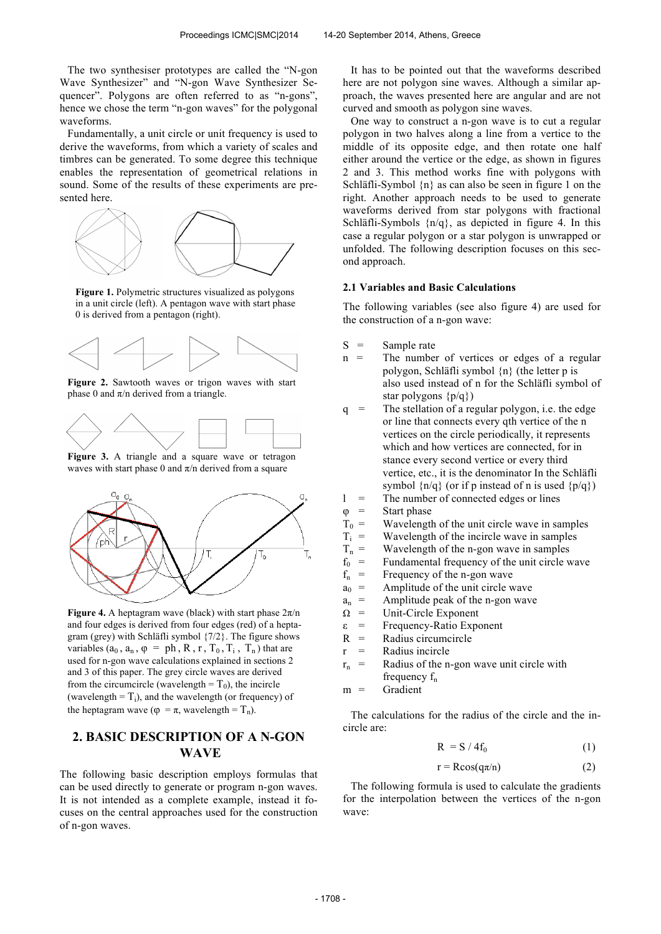The two synthesiser prototypes are called the "N-gon Wave Synthesizer" and "N-gon Wave Synthesizer Sequencer". Polygons are often referred to as "n-gons", hence we chose the term "n-gon waves" for the polygonal waveforms.

Fundamentally, a unit circle or unit frequency is used to derive the waveforms, from which a variety of scales and timbres can be generated. To some degree this technique enables the representation of geometrical relations in sound. Some of the results of these experiments are presented here.



**Figure 1.** Polymetric structures visualized as polygons in a unit circle (left). A pentagon wave with start phase 0 is derived from a pentagon (right).



**Figure 2.** Sawtooth waves or trigon waves with start phase 0 and  $\pi$ /n derived from a triangle.



**Figure 3.** A triangle and a square wave or tetragon waves with start phase 0 and  $\pi/n$  derived from a square



**Figure 4.** A heptagram wave (black) with start phase  $2\pi/n$ and four edges is derived from four edges (red) of a heptagram (grey) with Schläfli symbol {7/2}. The figure shows variables  $(a_0, a_n, \varphi = ph, R, r, T_0, T_i, T_n)$  that are used for n-gon wave calculations explained in sections 2 and 3 of this paper. The grey circle waves are derived from the circumcircle (wavelength =  $T_0$ ), the incircle (wavelength  $=T_i$ ), and the wavelength (or frequency) of the heptagram wave ( $\varphi = \pi$ , wavelength = T<sub>n</sub>).

## **2. BASIC DESCRIPTION OF A N-GON WAVE**

The following basic description employs formulas that can be used directly to generate or program n-gon waves. It is not intended as a complete example, instead it focuses on the central approaches used for the construction of n-gon waves.

It has to be pointed out that the waveforms described here are not polygon sine waves. Although a similar approach, the waves presented here are angular and are not curved and smooth as polygon sine waves.

One way to construct a n-gon wave is to cut a regular polygon in two halves along a line from a vertice to the middle of its opposite edge, and then rotate one half either around the vertice or the edge, as shown in figures 2 and 3. This method works fine with polygons with Schläfli-Symbol {n} as can also be seen in figure 1 on the right. Another approach needs to be used to generate waveforms derived from star polygons with fractional Schläfli-Symbols {n/q}, as depicted in figure 4. In this case a regular polygon or a star polygon is unwrapped or unfolded. The following description focuses on this second approach.

## **2.1 Variables and Basic Calculations**

The following variables (see also figure 4) are used for the construction of a n-gon wave:

- $S =$  Sample rate
- $n =$  The number of vertices or edges of a regular polygon, Schläfli symbol {n} (the letter p is also used instead of n for the Schläfli symbol of star polygons {p/q})
- $q =$  The stellation of a regular polygon, i.e. the edge or line that connects every qth vertice of the n vertices on the circle periodically, it represents which and how vertices are connected, for in stance every second vertice or every third vertice, etc., it is the denominator In the Schläfli symbol  $\{n/q\}$  (or if p instead of n is used  $\{p/q\}$ ) l = The number of connected edges or lines
- 
- $\varphi$  = Start phase<br>  $T_0$  = Wavelength
- $=$  Wavelength of the unit circle wave in samples<br> $=$  Wavelength of the incircle wave in samples
- Wavelength of the incircle wave in samples
- $T_i \over T_n$  $=$  Wavelength of the n-gon wave in samples<br> $=$  Fundamental frequency of the unit circle v
- $f_0$  = Fundamental frequency of the unit circle wave<br> $f =$  Frequency of the n-son wave
- $f_n$  = Frequency of the n-gon wave<br>  $f_n$  = Amplitude of the unit circle v
- $a_0$  = Amplitude of the unit circle wave
- $a_n$  = Amplitude peak of the n-gon wave<br>  $\Omega$  = Unit-Circle Exponent
- Unit-Circle Exponent
- ε = Frequency-Ratio Exponent
- $R =$ Radius circumcircle
- $r =$ Radius incircle
- $r_n$  = Radius of the n-gon wave unit circle with frequency  $f_n$

 $m =$  Gradient

The calculations for the radius of the circle and the incircle are:

$$
R = S / 4f_0 \tag{1}
$$

$$
r = \text{Rcos}(q\pi/n) \tag{2}
$$

The following formula is used to calculate the gradients for the interpolation between the vertices of the n-gon wave: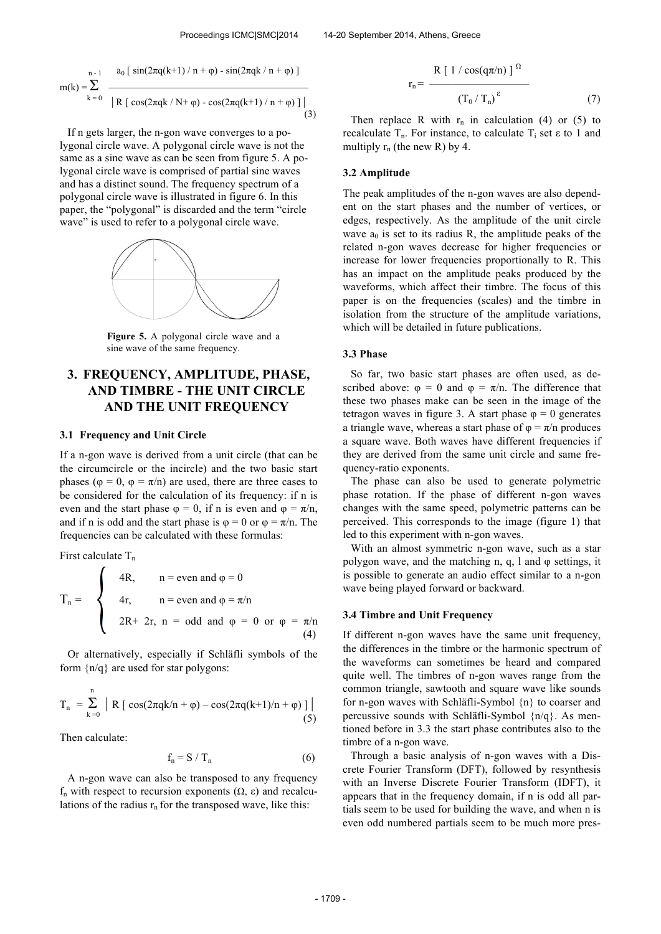$$
m(k) = \sum_{k=0}^{n-1} \frac{a_0 [ \sin(2\pi q(k+1)/n + \varphi) - \sin(2\pi qk/n + \varphi) ]}{|R [\cos(2\pi qk/N + \varphi) - \cos(2\pi q(k+1)/n + \varphi) ] |}
$$
(3)

If n gets larger, the n-gon wave converges to a polygonal circle wave. A polygonal circle wave is not the same as a sine wave as can be seen from figure 5. A polygonal circle wave is comprised of partial sine waves and has a distinct sound. The frequency spectrum of a polygonal circle wave is illustrated in figure 6. In this paper, the "polygonal" is discarded and the term "circle wave" is used to refer to a polygonal circle wave.



**Figure 5.** A polygonal circle wave and a sine wave of the same frequency.

# **3. FREQUENCY, AMPLITUDE, PHASE, AND TIMBRE - THE UNIT CIRCLE AND THE UNIT FREQUENCY**

#### **3.1 Frequency and Unit Circle**

If a n-gon wave is derived from a unit circle (that can be the circumcircle or the incircle) and the two basic start phases ( $\varphi = 0$ ,  $\varphi = \pi/n$ ) are used, there are three cases to be considered for the calculation of its frequency: if n is even and the start phase  $\varphi = 0$ , if n is even and  $\varphi = \pi/n$ , and if n is odd and the start phase is  $\varphi = 0$  or  $\varphi = \pi/n$ . The frequencies can be calculated with these formulas:

First calculate  $T_n$  $\overline{ }$ 

$$
T_n = \begin{cases} 4R, & n = \text{even and } \varphi = 0 \\ 4r, & n = \text{even and } \varphi = \pi/n \\ 2R + 2r, & n = \text{odd and } \varphi = 0 \text{ or } \varphi = \pi/n \\ (4) \end{cases}
$$

Or alternatively, especially if Schläfli symbols of the form  $\{n/q\}$  are used for star polygons:

$$
T_n = \sum_{k=0}^{n} | R [\cos(2\pi q k/n + \varphi) - \cos(2\pi q (k+1)/n + \varphi)] |
$$
(5)

Then calculate:

$$
f_n = S / T_n \tag{6}
$$

A n-gon wave can also be transposed to any frequency f<sup>n</sup> with respect to recursion exponents (Ω, ε) and recalculations of the radius  $r_n$  for the transposed wave, like this:

$$
r_{n} = \frac{R [1 / \cos(q \pi / n)]^{\Omega}}{(T_{0} / T_{n})^{\epsilon}}
$$
(7)

Then replace R with  $r_n$  in calculation (4) or (5) to recalculate  $T_n$ . For instance, to calculate  $T_i$  set  $\varepsilon$  to 1 and multiply  $r_n$  (the new R) by 4.

#### **3.2 Amplitude**

The peak amplitudes of the n-gon waves are also dependent on the start phases and the number of vertices, or edges, respectively. As the amplitude of the unit circle wave  $a_0$  is set to its radius R, the amplitude peaks of the related n-gon waves decrease for higher frequencies or increase for lower frequencies proportionally to R. This has an impact on the amplitude peaks produced by the waveforms, which affect their timbre. The focus of this paper is on the frequencies (scales) and the timbre in isolation from the structure of the amplitude variations, which will be detailed in future publications.

#### **3.3 Phase**

So far, two basic start phases are often used, as described above:  $\varphi = 0$  and  $\varphi = \pi/n$ . The difference that these two phases make can be seen in the image of the tetragon waves in figure 3. A start phase  $\varphi = 0$  generates a triangle wave, whereas a start phase of  $\varphi = \pi/n$  produces a square wave. Both waves have different frequencies if they are derived from the same unit circle and same frequency-ratio exponents.

The phase can also be used to generate polymetric phase rotation. If the phase of different n-gon waves changes with the same speed, polymetric patterns can be perceived. This corresponds to the image (figure 1) that led to this experiment with n-gon waves.

With an almost symmetric n-gon wave, such as a star polygon wave, and the matching n, q, l and  $\varphi$  settings, it is possible to generate an audio effect similar to a n-gon wave being played forward or backward.

#### **3.4 Timbre and Unit Frequency**

If different n-gon waves have the same unit frequency, the differences in the timbre or the harmonic spectrum of the waveforms can sometimes be heard and compared quite well. The timbres of n-gon waves range from the common triangle, sawtooth and square wave like sounds for n-gon waves with Schläfli-Symbol {n} to coarser and percussive sounds with Schläfli-Symbol {n/q}. As mentioned before in 3.3 the start phase contributes also to the timbre of a n-gon wave.

Through a basic analysis of n-gon waves with a Discrete Fourier Transform (DFT), followed by resynthesis with an Inverse Discrete Fourier Transform (IDFT), it appears that in the frequency domain, if n is odd all partials seem to be used for building the wave, and when n is even odd numbered partials seem to be much more pres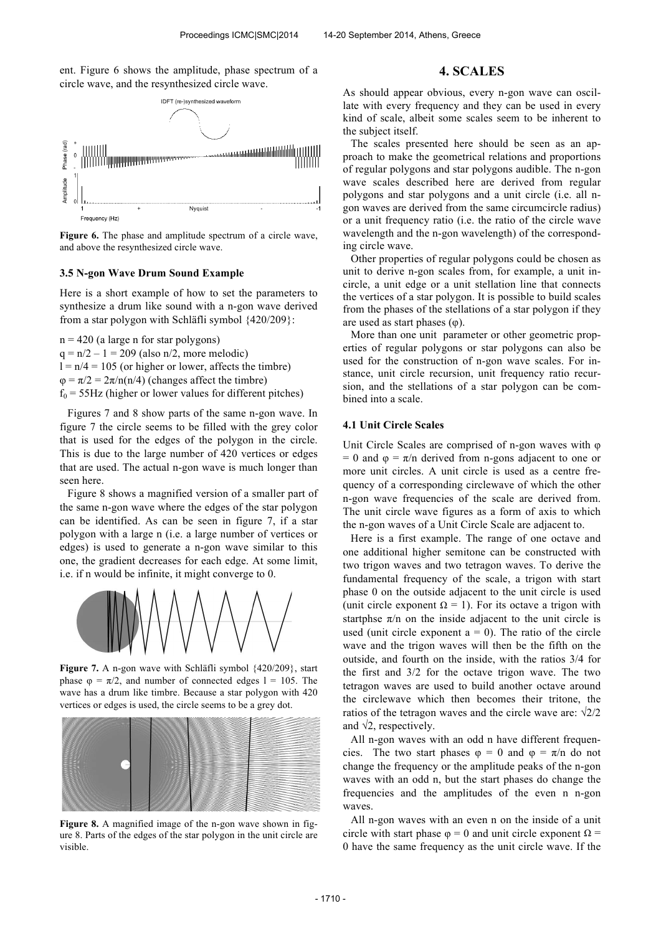ent. Figure 6 shows the amplitude, phase spectrum of a circle wave, and the resynthesized circle wave.



Figure 6. The phase and amplitude spectrum of a circle wave, and above the resynthesized circle wave.

#### **3.5 N-gon Wave Drum Sound Example**

Here is a short example of how to set the parameters to synthesize a drum like sound with a n-gon wave derived from a star polygon with Schläfli symbol {420/209}:

 $n = 420$  (a large n for star polygons)  $q = n/2 - 1 = 209$  (also n/2, more melodic)  $l = n/4 = 105$  (or higher or lower, affects the timbre)  $\varphi = \pi/2 = 2\pi/n(n/4)$  (changes affect the timbre)  $f_0$  = 55Hz (higher or lower values for different pitches)

Figures 7 and 8 show parts of the same n-gon wave. In figure 7 the circle seems to be filled with the grey color that is used for the edges of the polygon in the circle. This is due to the large number of 420 vertices or edges that are used. The actual n-gon wave is much longer than seen here.

Figure 8 shows a magnified version of a smaller part of the same n-gon wave where the edges of the star polygon can be identified. As can be seen in figure 7, if a star polygon with a large n (i.e. a large number of vertices or edges) is used to generate a n-gon wave similar to this one, the gradient decreases for each edge. At some limit, i.e. if n would be infinite, it might converge to 0.



**Figure 7.** A n-gon wave with Schläfli symbol {420/209}, start phase  $\varphi = \pi/2$ , and number of connected edges  $l = 105$ . The wave has a drum like timbre. Because a star polygon with 420 vertices or edges is used, the circle seems to be a grey dot.



Figure 8. A magnified image of the n-gon wave shown in figure 8. Parts of the edges of the star polygon in the unit circle are visible.

## **4. SCALES**

As should appear obvious, every n-gon wave can oscillate with every frequency and they can be used in every kind of scale, albeit some scales seem to be inherent to the subject itself.

The scales presented here should be seen as an approach to make the geometrical relations and proportions of regular polygons and star polygons audible. The n-gon wave scales described here are derived from regular polygons and star polygons and a unit circle (i.e. all ngon waves are derived from the same circumcircle radius) or a unit frequency ratio (i.e. the ratio of the circle wave wavelength and the n-gon wavelength) of the corresponding circle wave.

Other properties of regular polygons could be chosen as unit to derive n-gon scales from, for example, a unit incircle, a unit edge or a unit stellation line that connects the vertices of a star polygon. It is possible to build scales from the phases of the stellations of a star polygon if they are used as start phases  $(\varphi)$ .

More than one unit parameter or other geometric properties of regular polygons or star polygons can also be used for the construction of n-gon wave scales. For instance, unit circle recursion, unit frequency ratio recursion, and the stellations of a star polygon can be combined into a scale.

### **4.1 Unit Circle Scales**

Unit Circle Scales are comprised of n-gon waves with φ = 0 and  $\varphi = \pi/n$  derived from n-gons adjacent to one or more unit circles. A unit circle is used as a centre frequency of a corresponding circlewave of which the other n-gon wave frequencies of the scale are derived from. The unit circle wave figures as a form of axis to which the n-gon waves of a Unit Circle Scale are adjacent to.

Here is a first example. The range of one octave and one additional higher semitone can be constructed with two trigon waves and two tetragon waves. To derive the fundamental frequency of the scale, a trigon with start phase 0 on the outside adjacent to the unit circle is used (unit circle exponent  $\Omega = 1$ ). For its octave a trigon with startphse  $\pi/n$  on the inside adjacent to the unit circle is used (unit circle exponent  $a = 0$ ). The ratio of the circle wave and the trigon waves will then be the fifth on the outside, and fourth on the inside, with the ratios 3/4 for the first and 3/2 for the octave trigon wave. The two tetragon waves are used to build another octave around the circlewave which then becomes their tritone, the ratios of the tetragon waves and the circle wave are:  $\sqrt{2}/2$ and  $\sqrt{2}$ , respectively.

All n-gon waves with an odd n have different frequencies. The two start phases  $\varphi = 0$  and  $\varphi = \pi/n$  do not change the frequency or the amplitude peaks of the n-gon waves with an odd n, but the start phases do change the frequencies and the amplitudes of the even n n-gon waves.

All n-gon waves with an even n on the inside of a unit circle with start phase  $\varphi = 0$  and unit circle exponent  $\Omega =$ 0 have the same frequency as the unit circle wave. If the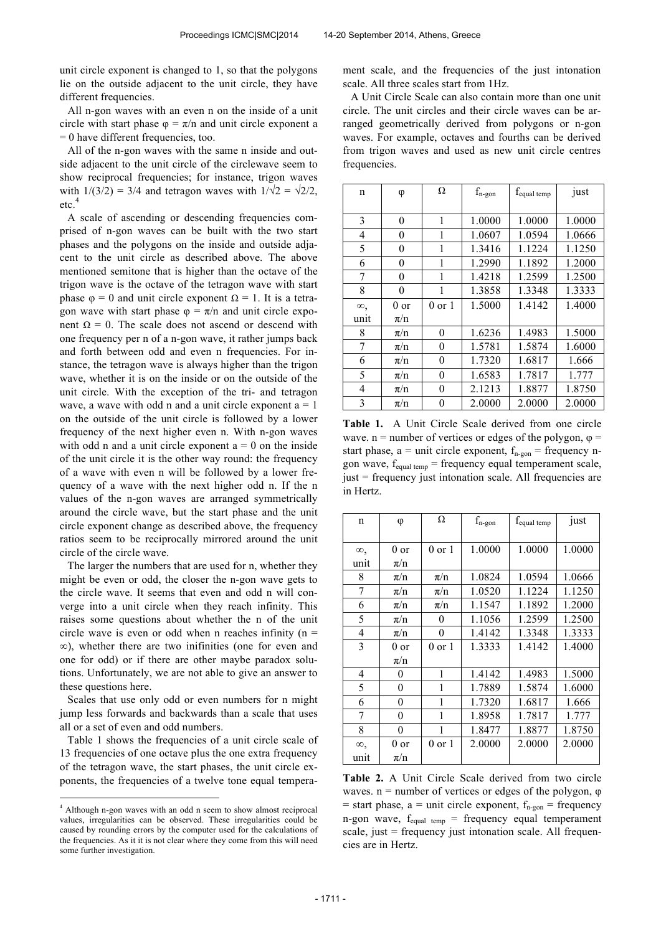unit circle exponent is changed to 1, so that the polygons lie on the outside adjacent to the unit circle, they have different frequencies.

All n-gon waves with an even n on the inside of a unit circle with start phase  $\varphi = \pi/n$  and unit circle exponent a = 0 have different frequencies, too.

All of the n-gon waves with the same n inside and outside adjacent to the unit circle of the circlewave seem to show reciprocal frequencies; for instance, trigon waves with  $1/(3/2) = 3/4$  and tetragon waves with  $1/\sqrt{2} = \sqrt{2}/2$ , etc.<sup>4</sup>

A scale of ascending or descending frequencies comprised of n-gon waves can be built with the two start phases and the polygons on the inside and outside adjacent to the unit circle as described above. The above mentioned semitone that is higher than the octave of the trigon wave is the octave of the tetragon wave with start phase  $\varphi = 0$  and unit circle exponent  $\Omega = 1$ . It is a tetragon wave with start phase  $\varphi = \pi/n$  and unit circle exponent  $Ω = 0$ . The scale does not ascend or descend with one frequency per n of a n-gon wave, it rather jumps back and forth between odd and even n frequencies. For instance, the tetragon wave is always higher than the trigon wave, whether it is on the inside or on the outside of the unit circle. With the exception of the tri- and tetragon wave, a wave with odd n and a unit circle exponent  $a = 1$ on the outside of the unit circle is followed by a lower frequency of the next higher even n. With n-gon waves with odd n and a unit circle exponent  $a = 0$  on the inside of the unit circle it is the other way round: the frequency of a wave with even n will be followed by a lower frequency of a wave with the next higher odd n. If the n values of the n-gon waves are arranged symmetrically around the circle wave, but the start phase and the unit circle exponent change as described above, the frequency ratios seem to be reciprocally mirrored around the unit circle of the circle wave.

The larger the numbers that are used for n, whether they might be even or odd, the closer the n-gon wave gets to the circle wave. It seems that even and odd n will converge into a unit circle when they reach infinity. This raises some questions about whether the n of the unit circle wave is even or odd when n reaches infinity ( $n =$ ∞), whether there are two inifinities (one for even and one for odd) or if there are other maybe paradox solutions. Unfortunately, we are not able to give an answer to these questions here.

Scales that use only odd or even numbers for n might jump less forwards and backwards than a scale that uses all or a set of even and odd numbers.

Table 1 shows the frequencies of a unit circle scale of 13 frequencies of one octave plus the one extra frequency of the tetragon wave, the start phases, the unit circle exponents, the frequencies of a twelve tone equal temperament scale, and the frequencies of the just intonation scale. All three scales start from 1Hz.

A Unit Circle Scale can also contain more than one unit circle. The unit circles and their circle waves can be arranged geometrically derived from polygons or n-gon waves. For example, octaves and fourths can be derived from trigon waves and used as new unit circle centres frequencies.

| n        | φ        | Ω                | $\rm f_{n\text{-gon}}$ | $f_{equal\ temp}$ | just   |
|----------|----------|------------------|------------------------|-------------------|--------|
|          |          |                  |                        |                   |        |
| 3        | $\theta$ | 1                | 1.0000                 | 1.0000            | 1.0000 |
| 4        | 0        | 1                | 1.0607                 | 1.0594            | 1.0666 |
| 5        | 0        | 1                | 1.3416                 | 1.1224            | 1.1250 |
| 6        | 0        | 1                | 1.2990                 | 1.1892            | 1.2000 |
| 7        | 0        | 1                | 1.4218                 | 1.2599            | 1.2500 |
| 8        | 0        | 1                | 1.3858                 | 1.3348            | 1.3333 |
| $\infty$ | 0 or     | $0$ or $1$       | 1.5000                 | 1.4142            | 1.4000 |
| unit     | $\pi/n$  |                  |                        |                   |        |
| 8        | $\pi/n$  | 0                | 1.6236                 | 1.4983            | 1.5000 |
| 7        | $\pi/n$  | 0                | 1.5781                 | 1.5874            | 1.6000 |
| 6        | $\pi/n$  | $\boldsymbol{0}$ | 1.7320                 | 1.6817            | 1.666  |
| 5        | $\pi/n$  | $\boldsymbol{0}$ | 1.6583                 | 1.7817            | 1.777  |
| 4        | $\pi/n$  | 0                | 2.1213                 | 1.8877            | 1.8750 |
| 3        | $\pi/n$  | 0                | 2.0000                 | 2.0000            | 2.0000 |

**Table 1.** A Unit Circle Scale derived from one circle wave.  $n =$  number of vertices or edges of the polygon,  $\varphi$  = start phase,  $a =$  unit circle exponent,  $f_{n-gon} =$  frequency ngon wave, fequal temp = frequency equal temperament scale, just = frequency just intonation scale. All frequencies are in Hertz.

| n        | φ        | Ω          | $\rm f_{n\text{-gon}}$ | f <sub>equal temp</sub> | just   |
|----------|----------|------------|------------------------|-------------------------|--------|
|          |          |            |                        |                         |        |
| œ,       | $0$ or   | $0$ or $1$ | 1.0000                 | 1.0000                  | 1.0000 |
| unit     | $\pi/n$  |            |                        |                         |        |
| 8        | $\pi/n$  | $\pi/n$    | 1.0824                 | 1.0594                  | 1.0666 |
| 7        | $\pi/n$  | $\pi/n$    | 1.0520                 | 1.1224                  | 1.1250 |
| 6        | $\pi/n$  | $\pi/n$    | 1.1547                 | 1.1892                  | 1.2000 |
| 5        | $\pi/n$  | 0          | 1.1056                 | 1.2599                  | 1.2500 |
| 4        | $\pi/n$  | 0          | 1.4142                 | 1.3348                  | 1.3333 |
| 3        | 0 or     | $0$ or $1$ | 1.3333                 | 1.4142                  | 1.4000 |
|          | $\pi/n$  |            |                        |                         |        |
| 4        | 0        | 1          | 1.4142                 | 1.4983                  | 1.5000 |
| 5        | $\theta$ | 1          | 1.7889                 | 1.5874                  | 1.6000 |
| 6        | 0        | 1          | 1.7320                 | 1.6817                  | 1.666  |
| 7        | $\theta$ | 1          | 1.8958                 | 1.7817                  | 1.777  |
| 8        | $\theta$ | 1          | 1.8477                 | 1.8877                  | 1.8750 |
| $\infty$ | $0$ or   | 0 or 1     | 2.0000                 | 2.0000                  | 2.0000 |
| unit     | $\pi/n$  |            |                        |                         |        |

**Table 2.** A Unit Circle Scale derived from two circle waves.  $n =$  number of vertices or edges of the polygon,  $\varphi$ = start phase,  $a$  = unit circle exponent,  $f_{n-gon}$  = frequency n-gon wave,  $f_{equal term}$  = frequency equal temperament scale, just  $=$  frequency just intonation scale. All frequencies are in Hertz.

 4 Although n-gon waves with an odd n seem to show almost reciprocal values, irregularities can be observed. These irregularities could be caused by rounding errors by the computer used for the calculations of the frequencies. As it it is not clear where they come from this will need some further investigation.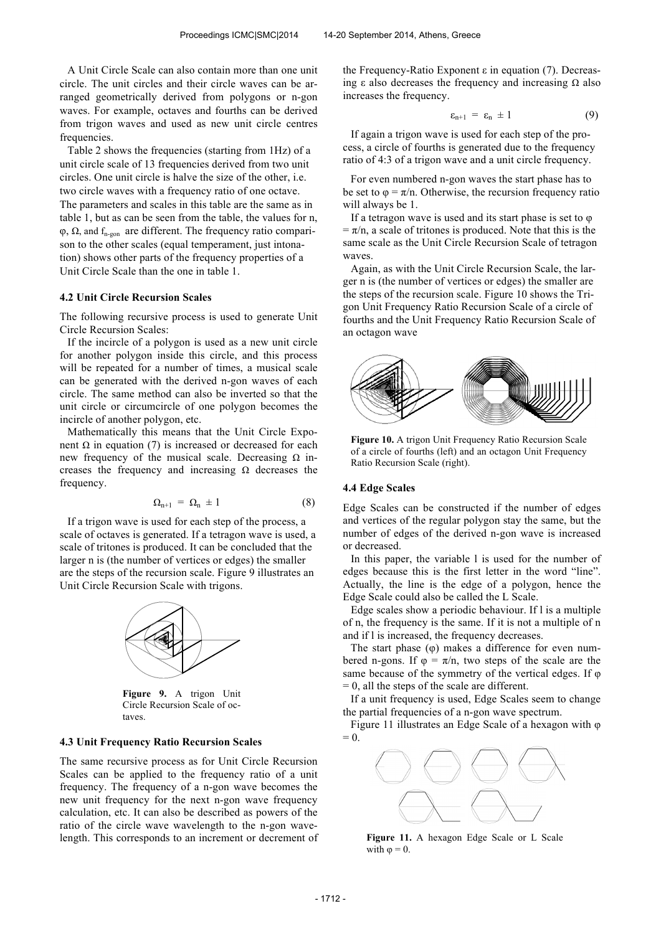A Unit Circle Scale can also contain more than one unit circle. The unit circles and their circle waves can be arranged geometrically derived from polygons or n-gon waves. For example, octaves and fourths can be derived from trigon waves and used as new unit circle centres frequencies.

Table 2 shows the frequencies (starting from 1Hz) of a unit circle scale of 13 frequencies derived from two unit circles. One unit circle is halve the size of the other, i.e. two circle waves with a frequency ratio of one octave. The parameters and scales in this table are the same as in table 1, but as can be seen from the table, the values for n,  $\varphi$ ,  $\Omega$ , and  $f_{n-gon}$  are different. The frequency ratio comparison to the other scales (equal temperament, just intonation) shows other parts of the frequency properties of a Unit Circle Scale than the one in table 1.

## **4.2 Unit Circle Recursion Scales**

The following recursive process is used to generate Unit Circle Recursion Scales:

If the incircle of a polygon is used as a new unit circle for another polygon inside this circle, and this process will be repeated for a number of times, a musical scale can be generated with the derived n-gon waves of each circle. The same method can also be inverted so that the unit circle or circumcircle of one polygon becomes the incircle of another polygon, etc.

Mathematically this means that the Unit Circle Exponent Ω in equation (7) is increased or decreased for each new frequency of the musical scale. Decreasing  $Ω$  increases the frequency and increasing  $\Omega$  decreases the frequency.

$$
\Omega_{n+1} = \Omega_n \pm 1 \tag{8}
$$

If a trigon wave is used for each step of the process, a scale of octaves is generated. If a tetragon wave is used, a scale of tritones is produced. It can be concluded that the larger n is (the number of vertices or edges) the smaller are the steps of the recursion scale. Figure 9 illustrates an Unit Circle Recursion Scale with trigons.



**Figure 9.** A trigon Unit Circle Recursion Scale of octaves.

### **4.3 Unit Frequency Ratio Recursion Scales**

The same recursive process as for Unit Circle Recursion Scales can be applied to the frequency ratio of a unit frequency. The frequency of a n-gon wave becomes the new unit frequency for the next n-gon wave frequency calculation, etc. It can also be described as powers of the ratio of the circle wave wavelength to the n-gon wavelength. This corresponds to an increment or decrement of the Frequency-Ratio Exponent ε in equation (7). Decreasing ε also decreases the frequency and increasing  $Ω$  also increases the frequency.

$$
\varepsilon_{n+1} = \varepsilon_n \pm 1 \tag{9}
$$

If again a trigon wave is used for each step of the process, a circle of fourths is generated due to the frequency ratio of 4:3 of a trigon wave and a unit circle frequency.

For even numbered n-gon waves the start phase has to be set to  $\varphi = \pi/n$ . Otherwise, the recursion frequency ratio will always be 1.

If a tetragon wave is used and its start phase is set to  $\varphi$  $=\pi/n$ , a scale of tritones is produced. Note that this is the same scale as the Unit Circle Recursion Scale of tetragon waves.

Again, as with the Unit Circle Recursion Scale, the larger n is (the number of vertices or edges) the smaller are the steps of the recursion scale. Figure 10 shows the Trigon Unit Frequency Ratio Recursion Scale of a circle of fourths and the Unit Frequency Ratio Recursion Scale of an octagon wave



**Figure 10.** A trigon Unit Frequency Ratio Recursion Scale of a circle of fourths (left) and an octagon Unit Frequency Ratio Recursion Scale (right).

#### **4.4 Edge Scales**

Edge Scales can be constructed if the number of edges and vertices of the regular polygon stay the same, but the number of edges of the derived n-gon wave is increased or decreased.

In this paper, the variable l is used for the number of edges because this is the first letter in the word "line". Actually, the line is the edge of a polygon, hence the Edge Scale could also be called the L Scale.

Edge scales show a periodic behaviour. If l is a multiple of n, the frequency is the same. If it is not a multiple of n and if l is increased, the frequency decreases.

The start phase (φ) makes a difference for even numbered n-gons. If  $\varphi = \pi/n$ , two steps of the scale are the same because of the symmetry of the vertical edges. If φ  $= 0$ , all the steps of the scale are different.

If a unit frequency is used, Edge Scales seem to change the partial frequencies of a n-gon wave spectrum.

Figure 11 illustrates an Edge Scale of a hexagon with φ  $= 0.$ 



**Figure 11.** A hexagon Edge Scale or L Scale with  $\omega = 0$ .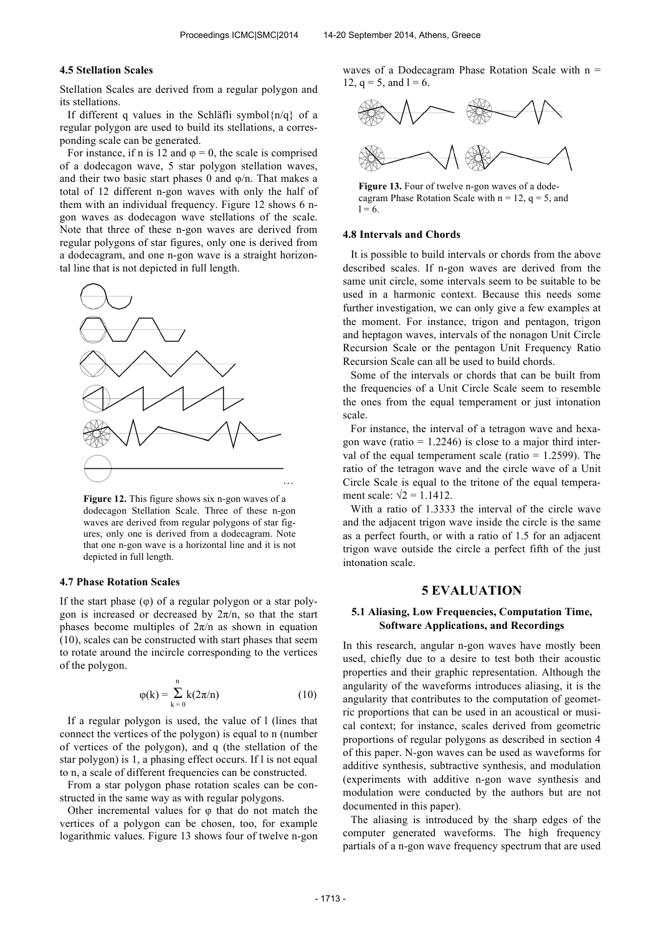#### **4.5 Stellation Scales**

Stellation Scales are derived from a regular polygon and its stellations.

If different q values in the Schläfli symbol $\{n/q\}$  of a regular polygon are used to build its stellations, a corresponding scale can be generated.

For instance, if n is 12 and  $\varphi = 0$ , the scale is comprised of a dodecagon wave, 5 star polygon stellation waves, and their two basic start phases 0 and  $\varphi/n$ . That makes a total of 12 different n-gon waves with only the half of them with an individual frequency. Figure 12 shows 6 ngon waves as dodecagon wave stellations of the scale. Note that three of these n-gon waves are derived from regular polygons of star figures, only one is derived from a dodecagram, and one n-gon wave is a straight horizontal line that is not depicted in full length.



**Figure 12.** This figure shows six n-gon waves of a dodecagon Stellation Scale. Three of these n-gon waves are derived from regular polygons of star figures, only one is derived from a dodecagram. Note that one n-gon wave is a horizontal line and it is not depicted in full length.

#### **4.7 Phase Rotation Scales**

If the start phase (φ) of a regular polygon or a star polygon is increased or decreased by  $2\pi/n$ , so that the start phases become multiples of  $2\pi/n$  as shown in equation (10), scales can be constructed with start phases that seem to rotate around the incircle corresponding to the vertices of the polygon.

$$
\varphi(k) = \sum_{k=0}^{n} k(2\pi/n)
$$
 (10)

If a regular polygon is used, the value of l (lines that connect the vertices of the polygon) is equal to n (number of vertices of the polygon), and q (the stellation of the star polygon) is 1, a phasing effect occurs. If l is not equal to n, a scale of different frequencies can be constructed.

From a star polygon phase rotation scales can be constructed in the same way as with regular polygons.

Other incremental values for  $\varphi$  that do not match the vertices of a polygon can be chosen, too, for example logarithmic values. Figure 13 shows four of twelve n-gon waves of a Dodecagram Phase Rotation Scale with  $n =$ 12,  $q = 5$ , and  $l = 6$ .



Figure 13. Four of twelve n-gon waves of a dode-

cagram Phase Rotation Scale with  $n = 12$ ,  $q = 5$ , and  $1 = 6.$ 

#### **4.8 Intervals and Chords**

It is possible to build intervals or chords from the above described scales. If n-gon waves are derived from the same unit circle, some intervals seem to be suitable to be used in a harmonic context. Because this needs some further investigation, we can only give a few examples at the moment. For instance, trigon and pentagon, trigon and heptagon waves, intervals of the nonagon Unit Circle Recursion Scale or the pentagon Unit Frequency Ratio Recursion Scale can all be used to build chords.

Some of the intervals or chords that can be built from the frequencies of a Unit Circle Scale seem to resemble the ones from the equal temperament or just intonation scale.

For instance, the interval of a tetragon wave and hexagon wave (ratio  $= 1.2246$ ) is close to a major third interval of the equal temperament scale (ratio  $= 1.2599$ ). The ratio of the tetragon wave and the circle wave of a Unit Circle Scale is equal to the tritone of the equal temperament scale:  $\sqrt{2} = 1.1412$ .

With a ratio of 1.3333 the interval of the circle wave and the adjacent trigon wave inside the circle is the same as a perfect fourth, or with a ratio of 1.5 for an adjacent trigon wave outside the circle a perfect fifth of the just intonation scale.

## **5 EVALUATION**

## **5.1 Aliasing, Low Frequencies, Computation Time, Software Applications, and Recordings**

In this research, angular n-gon waves have mostly been used, chiefly due to a desire to test both their acoustic properties and their graphic representation. Although the angularity of the waveforms introduces aliasing, it is the angularity that contributes to the computation of geometric proportions that can be used in an acoustical or musical context; for instance, scales derived from geometric proportions of regular polygons as described in section 4 of this paper. N-gon waves can be used as waveforms for additive synthesis, subtractive synthesis, and modulation (experiments with additive n-gon wave synthesis and modulation were conducted by the authors but are not documented in this paper).

The aliasing is introduced by the sharp edges of the computer generated waveforms. The high frequency partials of a n-gon wave frequency spectrum that are used